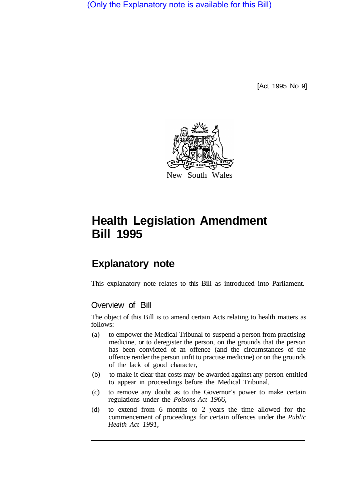(Only the Explanatory note is available for this Bill)

[Act 1995 No 9]



## **Health Legislation Amendment Bill 1995**

## **Explanatory note**

This explanatory note relates to this Bill as introduced into Parliament.

## Overview of Bill

The object of this Bill is to amend certain Acts relating to health matters as follows:

- (a) to empower the Medical Tribunal to suspend a person from practising medicine, or to deregister the person, on the grounds that the person has been convicted of an offence (and the circumstances of the offence render the person unfit to practise medicine) or on the grounds of the lack of good character,
- (b) to make it clear that costs may be awarded against any person entitled to appear in proceedings before the Medical Tribunal,
- (c) to remove any doubt as to the Governor's power to make certain regulations under the *Poisons Act 1966,*
- (d) to extend from 6 months to 2 years the time allowed for the commencement of proceedings for certain offences under the *Public Health Act 1991,*